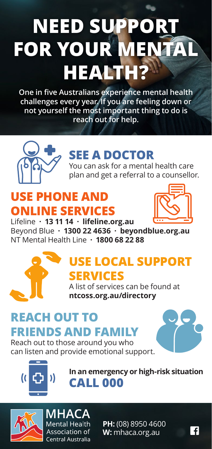# **NEED SUPPORT FOR YOUR MENTAL HEALTH?**

**One in five Australians experience mental health challenges every year. If you are feeling down or not yourself the most important thing to do is reach out for help.**



## **SEE A DOCTOR**

You can ask for a mental health care plan and get a referral to a counsellor.

## **USE PHONE AND ONLINE SERVICES**



Lifeline **· 13 11 14 · lifeline.org.au** Beyond Blue **· 1300 22 4636 · beyondblue.org.au** NT Mental Health Line **· 1800 68 22 88** 



### **USE LOCAL SUPPORT SERVICES**

A list of services can be found at **ntcoss.org.au/directory**

#### **REACH OUT TO FRIENDS AND FAMILY** Reach out to those around you who

can listen and provide emotional support.





**In an emergency or high-risk situation CALL 000**



**MHACA Mental Health** Association of Central Australia

**PH:** (08) 8950 4600 **W:** mhaca.org.au